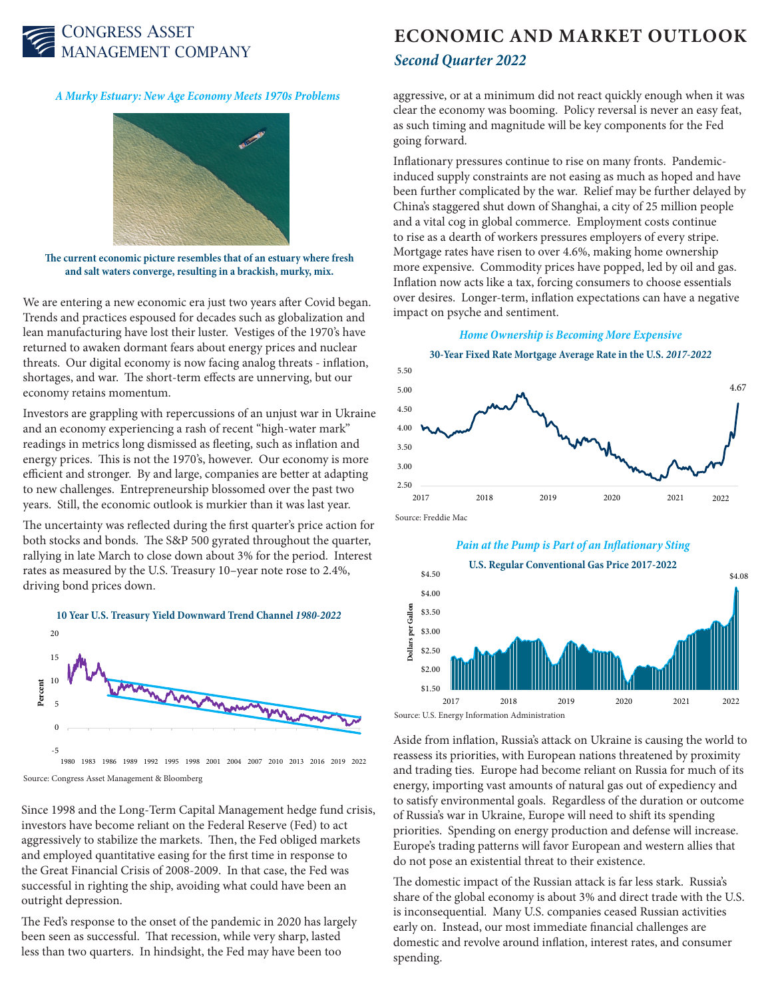

*A Murky Estuary: New Age Economy Meets 1970s Problems*



**The current economic picture resembles that of an estuary where fresh and salt waters converge, resulting in a brackish, murky, mix.** 

We are entering a new economic era just two years after Covid began. Trends and practices espoused for decades such as globalization and lean manufacturing have lost their luster. Vestiges of the 1970's have returned to awaken dormant fears about energy prices and nuclear threats. Our digital economy is now facing analog threats - inflation, shortages, and war. The short-term effects are unnerving, but our economy retains momentum.

Investors are grappling with repercussions of an unjust war in Ukraine and an economy experiencing a rash of recent "high-water mark" readings in metrics long dismissed as fleeting, such as inflation and energy prices. This is not the 1970's, however. Our economy is more efficient and stronger. By and large, companies are better at adapting to new challenges. Entrepreneurship blossomed over the past two years. Still, the economic outlook is murkier than it was last year.

The uncertainty was reflected during the first quarter's price action for both stocks and bonds. The S&P 500 gyrated throughout the quarter, rallying in late March to close down about 3% for the period. Interest rates as measured by the U.S. Treasury 10–year note rose to 2.4%, driving bond prices down.



1980 1983 1986 1989 1992 1995 1998 2001 2004 2007 2010 2013 2016 2019 2022 Source: Congress Asset Management & Bloomberg

Since 1998 and the Long-Term Capital Management hedge fund crisis, investors have become reliant on the Federal Reserve (Fed) to act aggressively to stabilize the markets. Then, the Fed obliged markets and employed quantitative easing for the first time in response to the Great Financial Crisis of 2008-2009. In that case, the Fed was successful in righting the ship, avoiding what could have been an outright depression.

The Fed's response to the onset of the pandemic in 2020 has largely been seen as successful. That recession, while very sharp, lasted less than two quarters. In hindsight, the Fed may have been too

## **ECONOMIC AND MARKET OUTLOOK** *Second Quarter 2022*

aggressive, or at a minimum did not react quickly enough when it was clear the economy was booming. Policy reversal is never an easy feat, as such timing and magnitude will be key components for the Fed going forward.

Inflationary pressures continue to rise on many fronts. Pandemicinduced supply constraints are not easing as much as hoped and have been further complicated by the war. Relief may be further delayed by China's staggered shut down of Shanghai, a city of 25 million people and a vital cog in global commerce. Employment costs continue to rise as a dearth of workers pressures employers of every stripe. Mortgage rates have risen to over 4.6%, making home ownership more expensive. Commodity prices have popped, led by oil and gas. Inflation now acts like a tax, forcing consumers to choose essentials over desires. Longer-term, inflation expectations can have a negative impact on psyche and sentiment.

## *Home Ownership is Becoming More Expensive*

**30-Year Fixed Rate Mortgage Average Rate in the U.S.** *2017-2022*



Source: Freddie Mac

*Pain at the Pump is Part of an Inflationary Sting*



Aside from inflation, Russia's attack on Ukraine is causing the world to reassess its priorities, with European nations threatened by proximity and trading ties. Europe had become reliant on Russia for much of its energy, importing vast amounts of natural gas out of expediency and to satisfy environmental goals. Regardless of the duration or outcome of Russia's war in Ukraine, Europe will need to shift its spending priorities. Spending on energy production and defense will increase. Europe's trading patterns will favor European and western allies that do not pose an existential threat to their existence.

The domestic impact of the Russian attack is far less stark. Russia's share of the global economy is about 3% and direct trade with the U.S. is inconsequential. Many U.S. companies ceased Russian activities early on. Instead, our most immediate financial challenges are domestic and revolve around inflation, interest rates, and consumer spending.